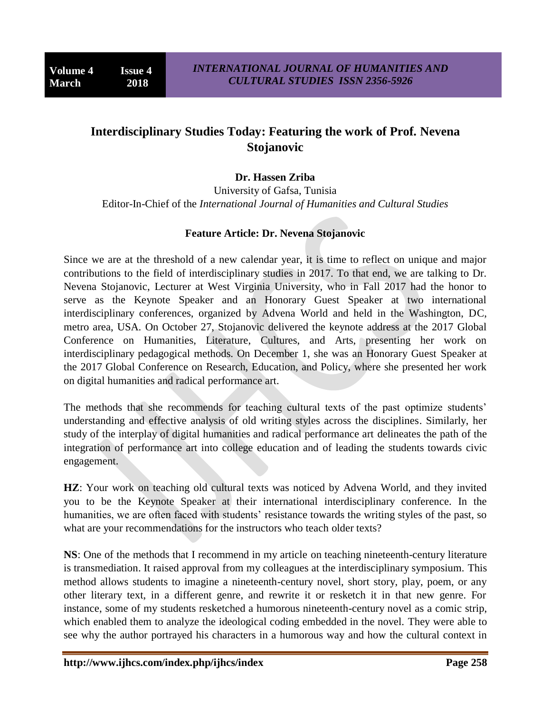## **Interdisciplinary Studies Today: Featuring the work of Prof. Nevena Stojanovic**

## **Dr. Hassen Zriba**

University of Gafsa, Tunisia Editor-In-Chief of the *International Journal of Humanities and Cultural Studies*

## **Feature Article: Dr. Nevena Stojanovic**

Since we are at the threshold of a new calendar year, it is time to reflect on unique and major contributions to the field of interdisciplinary studies in 2017. To that end, we are talking to Dr. Nevena Stojanovic, Lecturer at West Virginia University, who in Fall 2017 had the honor to serve as the Keynote Speaker and an Honorary Guest Speaker at two international interdisciplinary conferences, organized by Advena World and held in the Washington, DC, metro area, USA. On October 27, Stojanovic delivered the keynote address at the 2017 Global Conference on Humanities, Literature, Cultures, and Arts, presenting her work on interdisciplinary pedagogical methods. On December 1, she was an Honorary Guest Speaker at the 2017 Global Conference on Research, Education, and Policy, where she presented her work on digital humanities and radical performance art.

The methods that she recommends for teaching cultural texts of the past optimize students' understanding and effective analysis of old writing styles across the disciplines. Similarly, her study of the interplay of digital humanities and radical performance art delineates the path of the integration of performance art into college education and of leading the students towards civic engagement.

**HZ**: Your work on teaching old cultural texts was noticed by Advena World, and they invited you to be the Keynote Speaker at their international interdisciplinary conference. In the humanities, we are often faced with students' resistance towards the writing styles of the past, so what are your recommendations for the instructors who teach older texts?

**NS**: One of the methods that I recommend in my article on teaching nineteenth-century literature is transmediation. It raised approval from my colleagues at the interdisciplinary symposium. This method allows students to imagine a nineteenth-century novel, short story, play, poem, or any other literary text, in a different genre, and rewrite it or resketch it in that new genre. For instance, some of my students resketched a humorous nineteenth-century novel as a comic strip, which enabled them to analyze the ideological coding embedded in the novel. They were able to see why the author portrayed his characters in a humorous way and how the cultural context in